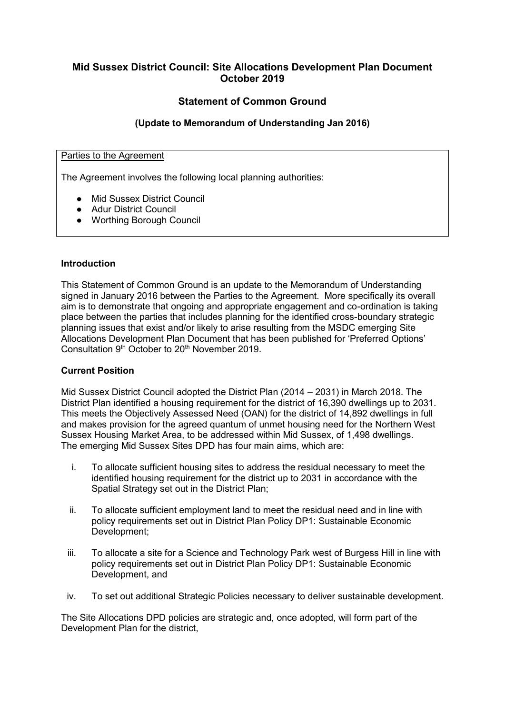# **Mid Sussex District Council: Site Allocations Development Plan Document October 2019**

# **Statement of Common Ground**

### **(Update to Memorandum of Understanding Jan 2016)**

#### Parties to the Agreement

The Agreement involves the following local planning authorities:

- Mid Sussex District Council
- Adur District Council
- Worthing Borough Council

#### **Introduction**

This Statement of Common Ground is an update to the Memorandum of Understanding signed in January 2016 between the Parties to the Agreement. More specifically its overall aim is to demonstrate that ongoing and appropriate engagement and co-ordination is taking place between the parties that includes planning for the identified cross-boundary strategic planning issues that exist and/or likely to arise resulting from the MSDC emerging Site Allocations Development Plan Document that has been published for 'Preferred Options' Consultation 9th October to 20th November 2019.

#### **Current Position**

Mid Sussex District Council adopted the District Plan (2014 – 2031) in March 2018. The District Plan identified a housing requirement for the district of 16,390 dwellings up to 2031. This meets the Objectively Assessed Need (OAN) for the district of 14,892 dwellings in full and makes provision for the agreed quantum of unmet housing need for the Northern West Sussex Housing Market Area, to be addressed within Mid Sussex, of 1,498 dwellings. The emerging Mid Sussex Sites DPD has four main aims, which are:

- i. To allocate sufficient housing sites to address the residual necessary to meet the identified housing requirement for the district up to 2031 in accordance with the Spatial Strategy set out in the District Plan;
- ii. To allocate sufficient employment land to meet the residual need and in line with policy requirements set out in District Plan Policy DP1: Sustainable Economic Development;
- iii. To allocate a site for a Science and Technology Park west of Burgess Hill in line with policy requirements set out in District Plan Policy DP1: Sustainable Economic Development, and
- iv. To set out additional Strategic Policies necessary to deliver sustainable development.

The Site Allocations DPD policies are strategic and, once adopted, will form part of the Development Plan for the district,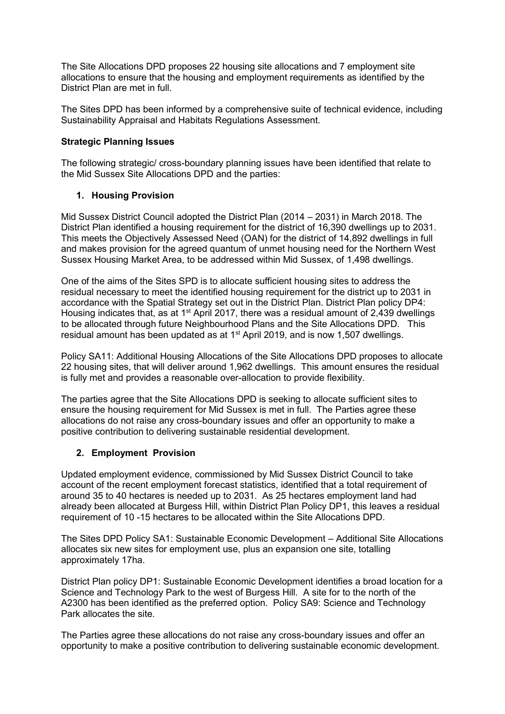The Site Allocations DPD proposes 22 housing site allocations and 7 employment site allocations to ensure that the housing and employment requirements as identified by the District Plan are met in full.

The Sites DPD has been informed by a comprehensive suite of technical evidence, including Sustainability Appraisal and Habitats Regulations Assessment.

### **Strategic Planning Issues**

The following strategic/ cross-boundary planning issues have been identified that relate to the Mid Sussex Site Allocations DPD and the parties:

### **1. Housing Provision**

Mid Sussex District Council adopted the District Plan (2014 – 2031) in March 2018. The District Plan identified a housing requirement for the district of 16,390 dwellings up to 2031. This meets the Objectively Assessed Need (OAN) for the district of 14,892 dwellings in full and makes provision for the agreed quantum of unmet housing need for the Northern West Sussex Housing Market Area, to be addressed within Mid Sussex, of 1,498 dwellings.

One of the aims of the Sites SPD is to allocate sufficient housing sites to address the residual necessary to meet the identified housing requirement for the district up to 2031 in accordance with the Spatial Strategy set out in the District Plan. District Plan policy DP4: Housing indicates that, as at 1<sup>st</sup> April 2017, there was a residual amount of 2,439 dwellings to be allocated through future Neighbourhood Plans and the Site Allocations DPD. This residual amount has been updated as at 1<sup>st</sup> April 2019, and is now 1,507 dwellings.

Policy SA11: Additional Housing Allocations of the Site Allocations DPD proposes to allocate 22 housing sites, that will deliver around 1,962 dwellings. This amount ensures the residual is fully met and provides a reasonable over-allocation to provide flexibility.

The parties agree that the Site Allocations DPD is seeking to allocate sufficient sites to ensure the housing requirement for Mid Sussex is met in full. The Parties agree these allocations do not raise any cross-boundary issues and offer an opportunity to make a positive contribution to delivering sustainable residential development.

#### **2. Employment Provision**

Updated employment evidence, commissioned by Mid Sussex District Council to take account of the recent employment forecast statistics, identified that a total requirement of around 35 to 40 hectares is needed up to 2031. As 25 hectares employment land had already been allocated at Burgess Hill, within District Plan Policy DP1, this leaves a residual requirement of 10 -15 hectares to be allocated within the Site Allocations DPD.

The Sites DPD Policy SA1: Sustainable Economic Development – Additional Site Allocations allocates six new sites for employment use, plus an expansion one site, totalling approximately 17ha.

District Plan policy DP1: Sustainable Economic Development identifies a broad location for a Science and Technology Park to the west of Burgess Hill. A site for to the north of the A2300 has been identified as the preferred option. Policy SA9: Science and Technology Park allocates the site.

The Parties agree these allocations do not raise any cross-boundary issues and offer an opportunity to make a positive contribution to delivering sustainable economic development.